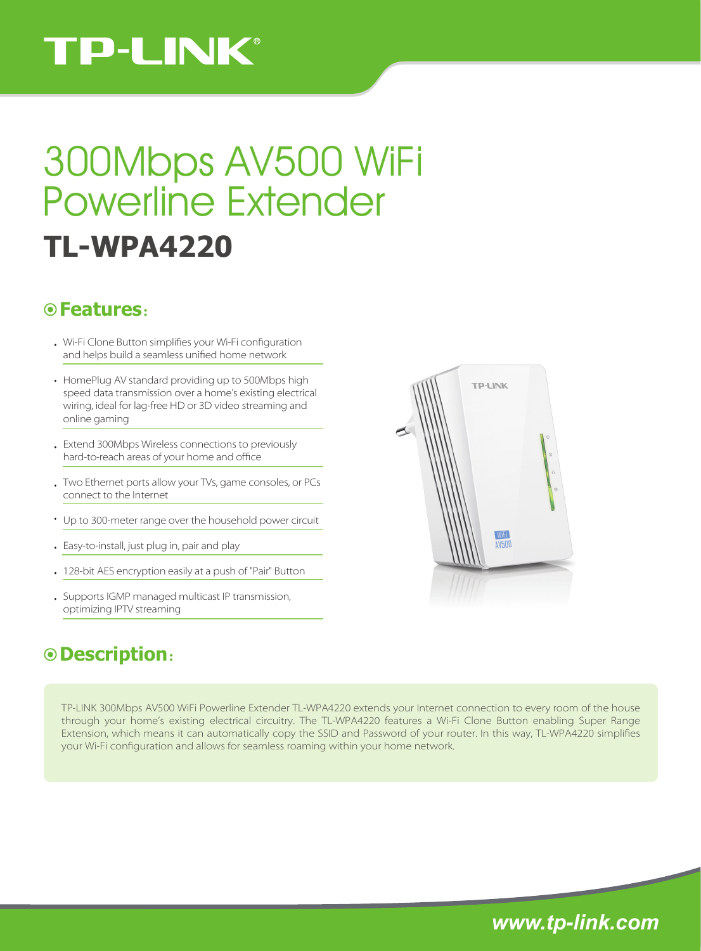# **TP-LINK®**

# **TL-WPA4220** 300Mbps AV500 WiFi Powerline Extender

### **Features**:

- . Wi-Fi Clone Button simplifies your Wi-Fi configuration and helps build a seamless unified home network
- HomePlug AV standard providing up to 500Mbps high speed data transmission over a home's existing electrical wiring, ideal for lag-free HD or 3D video streaming and online gaming
- Extend 300Mbps Wireless connections to previously hard-to-reach areas of your home and office
- Two Ethernet ports allow your TVs, game consoles, or PCs connect to the Internet
- Up to 300-meter range over the household power circuit
- Easy-to-install, just plug in, pair and play
- 128-bit AES encryption easily at a push of "Pair" Button
- Supports IGMP managed multicast IP transmission, optimizing IPTV streaming

## **Description**:

TP-LINK 300Mbps AV500 WiFi Powerline Extender TL-WPA4220 extends your Internet connection to every room of the house through your home's existing electrical circuitry. The TL-WPA4220 features a Wi-Fi Clone Button enabling Super Range Extension, which means it can automatically copy the SSID and Password of your router. In this way, TL-WPA4220 simplies your Wi-Fi configuration and allows for seamless roaming within your home network.



*www.tp-link.com*